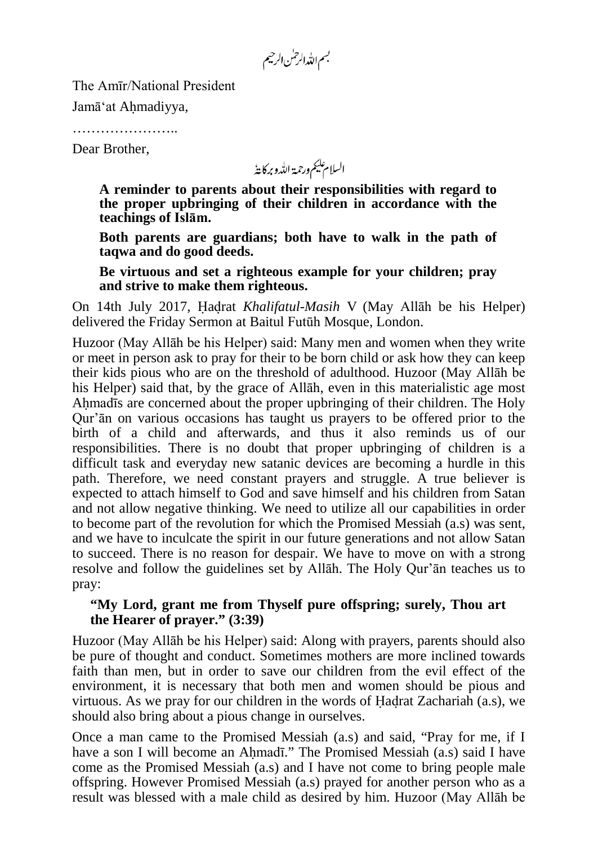بسم الله الرحس الرحيم

The Amīr/National President

Jamā'at Ahmadiyya,

……………………

Dear Brother,

السلام عليم ورحمة الله وبركايةُ

**A reminder to parents about their responsibilities with regard to the proper upbringing of their children in accordance with the teachings of Islām.**

**Both parents are guardians; both have to walk in the path of taqwa and do good deeds.**

**Be virtuous and set a righteous example for your children; pray and strive to make them righteous.**

On 14th July 2017, Hadrat *Khalifatul-Masih* V (May Allāh be his Helper) delivered the Friday Sermon at Baitul Futūh Mosque, London.

Huzoor (May Allāh be his Helper) said: Many men and women when they write or meet in person ask to pray for their to be born child or ask how they can keep their kids pious who are on the threshold of adulthood. Huzoor (May Allāh be his Helper) said that, by the grace of Allāh, even in this materialistic age most Ahmadīs are concerned about the proper upbringing of their children. The Holy Qur'ān on various occasions has taught us prayers to be offered prior to the birth of a child and afterwards, and thus it also reminds us of our responsibilities. There is no doubt that proper upbringing of children is a difficult task and everyday new satanic devices are becoming a hurdle in this path. Therefore, we need constant prayers and struggle. A true believer is expected to attach himself to God and save himself and his children from Satan and not allow negative thinking. We need to utilize all our capabilities in order to become part of the revolution for which the Promised Messiah (a.s) was sent, and we have to inculcate the spirit in our future generations and not allow Satan to succeed. There is no reason for despair. We have to move on with a strong resolve and follow the guidelines set by Allāh. The Holy Qur'ān teaches us to pray:

## **"My Lord, grant me from Thyself pure offspring; surely, Thou art the Hearer of prayer." (3:39)**

Huzoor (May Allāh be his Helper) said: Along with prayers, parents should also be pure of thought and conduct. Sometimes mothers are more inclined towards faith than men, but in order to save our children from the evil effect of the environment, it is necessary that both men and women should be pious and virtuous. As we pray for our children in the words of Hadrat Zachariah (a.s), we should also bring about a pious change in ourselves.

Once a man came to the Promised Messiah (a.s) and said, "Pray for me, if I have a son I will become an Ahmadī." The Promised Messiah (a.s) said I have come as the Promised Messiah (a.s) and I have not come to bring people male offspring. However Promised Messiah (a.s) prayed for another person who as a result was blessed with a male child as desired by him. Huzoor (May Allāh be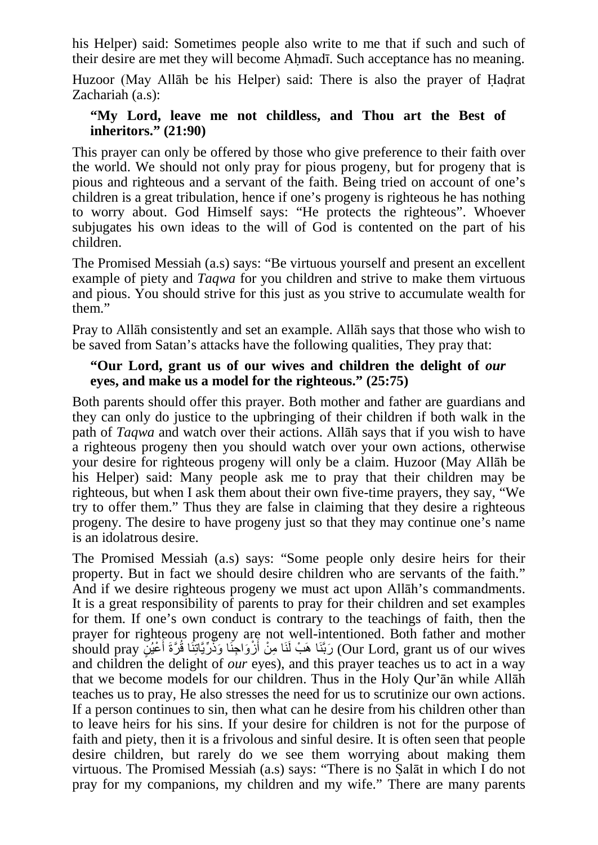his Helper) said: Sometimes people also write to me that if such and such of their desire are met they will become Ahmadī. Such acceptance has no meaning.

Huzoor (May Allāh be his Helper) said: There is also the prayer of Hadrat Zachariah (a.s):

## **"My Lord, leave me not childless, and Thou art the Best of inheritors." (21:90)**

This prayer can only be offered by those who give preference to their faith over the world. We should not only pray for pious progeny, but for progeny that is pious and righteous and a servant of the faith. Being tried on account of one's children is a great tribulation, hence if one's progeny is righteous he has nothing to worry about. God Himself says: "He protects the righteous". Whoever subjugates his own ideas to the will of God is contented on the part of his children.

The Promised Messiah (a.s) says: "Be virtuous yourself and present an excellent example of piety and *Taqwa* for you children and strive to make them virtuous and pious. You should strive for this just as you strive to accumulate wealth for them."

Pray to Allāh consistently and set an example. Allāh says that those who wish to be saved from Satan's attacks have the following qualities, They pray that:

## **"Our Lord, grant us of our wives and children the delight of** *our* **eyes, and make us a model for the righteous." (25:75)**

Both parents should offer this prayer. Both mother and father are guardians and they can only do justice to the upbringing of their children if both walk in the path of *Taqwa* and watch over their actions. Allāh says that if you wish to have a righteous progeny then you should watch over your own actions, otherwise your desire for righteous progeny will only be a claim. Huzoor (May Allāh be his Helper) said: Many people ask me to pray that their children may be righteous, but when I ask them about their own five-time prayers, they say, "We try to offer them." Thus they are false in claiming that they desire a righteous progeny. The desire to have progeny just so that they may continue one's name is an idolatrous desire.

The Promised Messiah (a.s) says: "Some people only desire heirs for their property. But in fact we should desire children who are servants of the faith." And if we desire righteous progeny we must act upon Allāh's commandments. It is a great responsibility of parents to pray for their children and set examples for them. If one's own conduct is contrary to the teachings of faith, then the prayer for righteous progeny are not well-intentioned. Both father and mother our Lord, grant us of our wives) رَبَّنَا هَبْ أَنْوَاجِذَا وَذَّرِّيَاتِنَا قُرَّةَ أَعْيُنٍّ should pray and children the delight of *our* eyes), and this prayer teaches us to act in a way that we become models for our children. Thus in the Holy Qur'ān while Allāh teaches us to pray, He also stresses the need for us to scrutinize our own actions. If a person continues to sin, then what can he desire from his children other than to leave heirs for his sins. If your desire for children is not for the purpose of faith and piety, then it is a frivolous and sinful desire. It is often seen that people desire children, but rarely do we see them worrying about making them virtuous. The Promised Messiah (a.s) says: "There is no Salāt in which I do not pray for my companions, my children and my wife." There are many parents